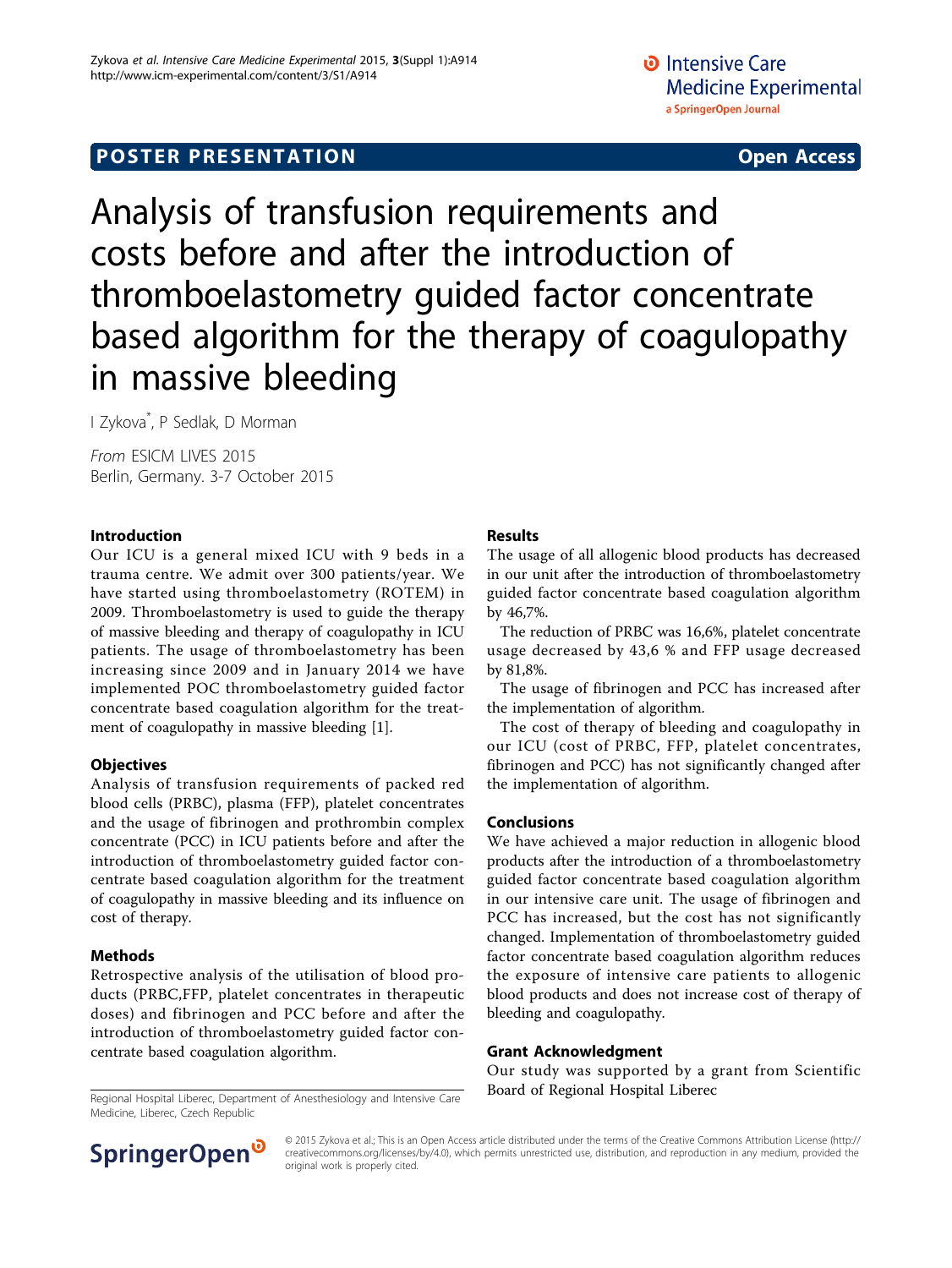# **POSTER PRESENTATION CONSUMING THE SERVICE SERVICE SERVICES**

Analysis of transfusion requirements and costs before and after the introduction of thromboelastometry guided factor concentrate based algorithm for the therapy of coagulopathy in massive bleeding

I Zykova\* , P Sedlak, D Morman

From ESICM LIVES 2015 Berlin, Germany. 3-7 October 2015

#### Introduction

Our ICU is a general mixed ICU with 9 beds in a trauma centre. We admit over 300 patients/year. We have started using thromboelastometry (ROTEM) in 2009. Thromboelastometry is used to guide the therapy of massive bleeding and therapy of coagulopathy in ICU patients. The usage of thromboelastometry has been increasing since 2009 and in January 2014 we have implemented POC thromboelastometry guided factor concentrate based coagulation algorithm for the treatment of coagulopathy in massive bleeding [[1\]](#page-1-0).

# **Objectives**

Analysis of transfusion requirements of packed red blood cells (PRBC), plasma (FFP), platelet concentrates and the usage of fibrinogen and prothrombin complex concentrate (PCC) in ICU patients before and after the introduction of thromboelastometry guided factor concentrate based coagulation algorithm for the treatment of coagulopathy in massive bleeding and its influence on cost of therapy.

# Methods

Retrospective analysis of the utilisation of blood products (PRBC,FFP, platelet concentrates in therapeutic doses) and fibrinogen and PCC before and after the introduction of thromboelastometry guided factor concentrate based coagulation algorithm.

Board of Regional Hospital Liberec, Department of Anesthesiology and Intensive Care Board of Regional Hospital Liberec Medicine, Liberec, Czech Republic

# Results

The usage of all allogenic blood products has decreased in our unit after the introduction of thromboelastometry guided factor concentrate based coagulation algorithm by 46,7%.

The reduction of PRBC was 16,6%, platelet concentrate usage decreased by 43,6 % and FFP usage decreased by 81,8%.

The usage of fibrinogen and PCC has increased after the implementation of algorithm.

The cost of therapy of bleeding and coagulopathy in our ICU (cost of PRBC, FFP, platelet concentrates, fibrinogen and PCC) has not significantly changed after the implementation of algorithm.

#### **Conclusions**

We have achieved a major reduction in allogenic blood products after the introduction of a thromboelastometry guided factor concentrate based coagulation algorithm in our intensive care unit. The usage of fibrinogen and PCC has increased, but the cost has not significantly changed. Implementation of thromboelastometry guided factor concentrate based coagulation algorithm reduces the exposure of intensive care patients to allogenic blood products and does not increase cost of therapy of bleeding and coagulopathy.

#### Grant Acknowledgment

Our study was supported by a grant from Scientific



© 2015 Zykova et al.; This is an Open Access article distributed under the terms of the Creative Commons Attribution License [\(http://](http://creativecommons.org/licenses/by/4.0) [creativecommons.org/licenses/by/4.0](http://creativecommons.org/licenses/by/4.0)), which permits unrestricted use, distribution, and reproduction in any medium, provided the original work is properly cited.